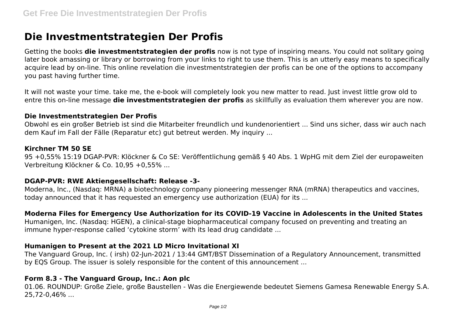# **Die Investmentstrategien Der Profis**

Getting the books **die investmentstrategien der profis** now is not type of inspiring means. You could not solitary going later book amassing or library or borrowing from your links to right to use them. This is an utterly easy means to specifically acquire lead by on-line. This online revelation die investmentstrategien der profis can be one of the options to accompany you past having further time.

It will not waste your time. take me, the e-book will completely look you new matter to read. Just invest little grow old to entre this on-line message **die investmentstrategien der profis** as skillfully as evaluation them wherever you are now.

### **Die Investmentstrategien Der Profis**

Obwohl es ein großer Betrieb ist sind die Mitarbeiter freundlich und kundenorientiert ... Sind uns sicher, dass wir auch nach dem Kauf im Fall der Fälle (Reparatur etc) gut betreut werden. My inquiry ...

### **Kirchner TM 50 SE**

95 +0,55% 15:19 DGAP-PVR: Klöckner & Co SE: Veröffentlichung gemäß § 40 Abs. 1 WpHG mit dem Ziel der europaweiten Verbreitung Klöckner & Co. 10,95 +0,55% ...

# **DGAP-PVR: RWE Aktiengesellschaft: Release -3-**

Moderna, Inc., (Nasdaq: MRNA) a biotechnology company pioneering messenger RNA (mRNA) therapeutics and vaccines, today announced that it has requested an emergency use authorization (EUA) for its ...

# **Moderna Files for Emergency Use Authorization for its COVID-19 Vaccine in Adolescents in the United States**

Humanigen, Inc. (Nasdaq: HGEN), a clinical-stage biopharmaceutical company focused on preventing and treating an immune hyper-response called 'cytokine storm' with its lead drug candidate ...

# **Humanigen to Present at the 2021 LD Micro Invitational XI**

The Vanguard Group, Inc. ( irsh) 02-Jun-2021 / 13:44 GMT/BST Dissemination of a Regulatory Announcement, transmitted by EQS Group. The issuer is solely responsible for the content of this announcement ...

# **Form 8.3 - The Vanguard Group, Inc.: Aon plc**

01.06. ROUNDUP: Große Ziele, große Baustellen - Was die Energiewende bedeutet Siemens Gamesa Renewable Energy S.A. 25,72-0,46% ...